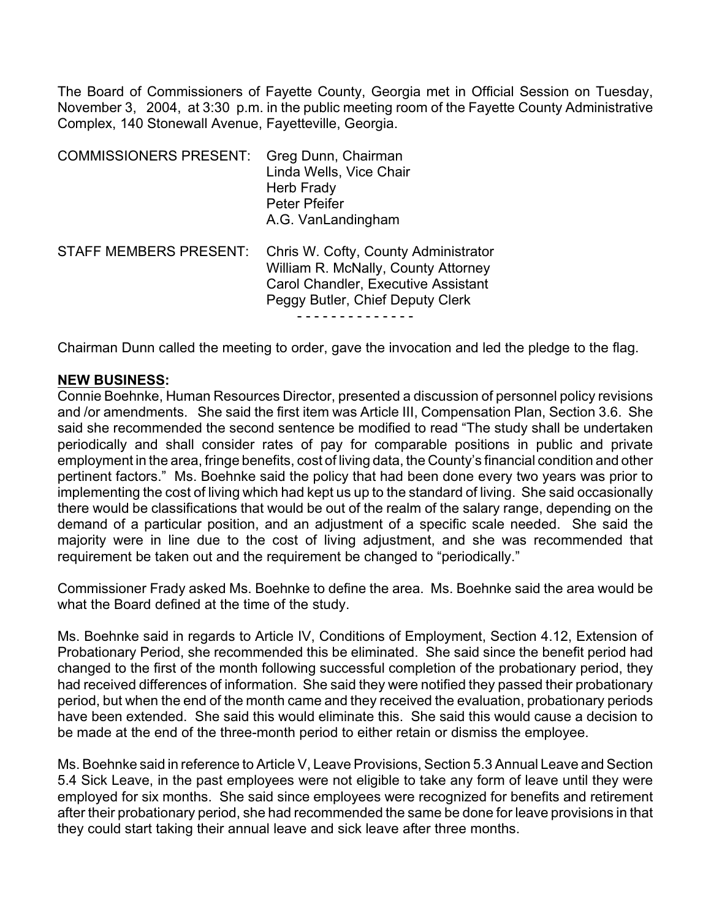The Board of Commissioners of Fayette County, Georgia met in Official Session on Tuesday, November 3, 2004, at 3:30 p.m. in the public meeting room of the Fayette County Administrative Complex, 140 Stonewall Avenue, Fayetteville, Georgia.

| <b>COMMISSIONERS PRESENT:</b> | Greg Dunn, Chairman<br>Linda Wells, Vice Chair<br>Herb Frady<br>Peter Pfeifer<br>A.G. VanLandingham                                                    |
|-------------------------------|--------------------------------------------------------------------------------------------------------------------------------------------------------|
| <b>STAFF MEMBERS PRESENT:</b> | Chris W. Cofty, County Administrator<br>William R. McNally, County Attorney<br>Carol Chandler, Executive Assistant<br>Peggy Butler, Chief Deputy Clerk |

Chairman Dunn called the meeting to order, gave the invocation and led the pledge to the flag.

#### **NEW BUSINESS:**

Connie Boehnke, Human Resources Director, presented a discussion of personnel policy revisions and /or amendments. She said the first item was Article III, Compensation Plan, Section 3.6. She said she recommended the second sentence be modified to read "The study shall be undertaken periodically and shall consider rates of pay for comparable positions in public and private employment in the area, fringe benefits, cost of living data, the County's financial condition and other pertinent factors." Ms. Boehnke said the policy that had been done every two years was prior to implementing the cost of living which had kept us up to the standard of living. She said occasionally there would be classifications that would be out of the realm of the salary range, depending on the demand of a particular position, and an adjustment of a specific scale needed. She said the majority were in line due to the cost of living adjustment, and she was recommended that requirement be taken out and the requirement be changed to "periodically."

Commissioner Frady asked Ms. Boehnke to define the area. Ms. Boehnke said the area would be what the Board defined at the time of the study.

Ms. Boehnke said in regards to Article IV, Conditions of Employment, Section 4.12, Extension of Probationary Period, she recommended this be eliminated. She said since the benefit period had changed to the first of the month following successful completion of the probationary period, they had received differences of information. She said they were notified they passed their probationary period, but when the end of the month came and they received the evaluation, probationary periods have been extended. She said this would eliminate this. She said this would cause a decision to be made at the end of the three-month period to either retain or dismiss the employee.

Ms. Boehnke said in reference to Article V, Leave Provisions, Section 5.3 Annual Leave and Section 5.4 Sick Leave, in the past employees were not eligible to take any form of leave until they were employed for six months. She said since employees were recognized for benefits and retirement after their probationary period, she had recommended the same be done for leave provisions in that they could start taking their annual leave and sick leave after three months.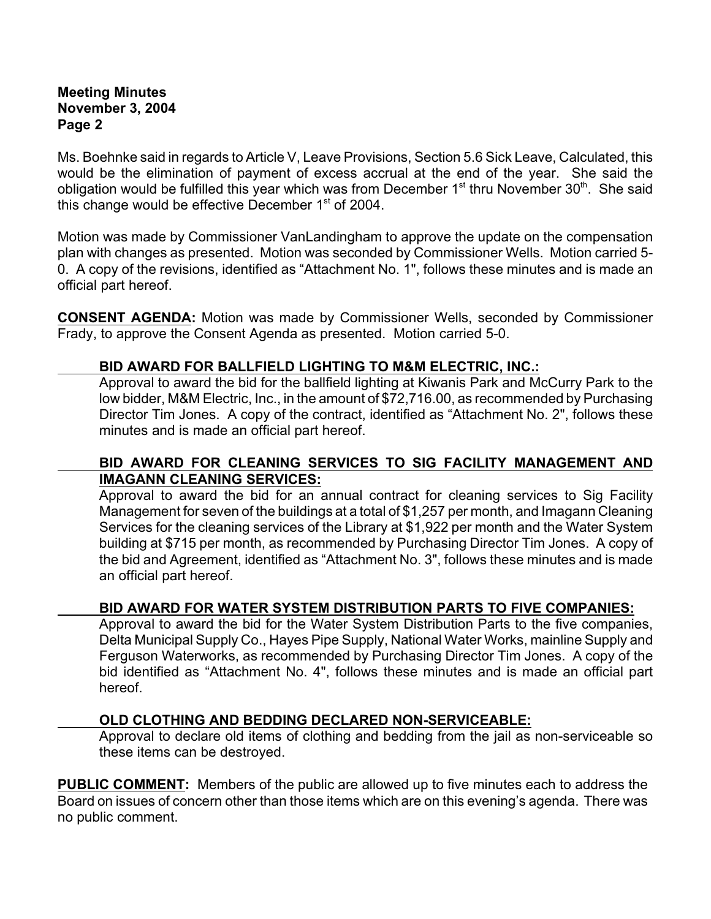## **Meeting Minutes November 3, 2004 Page 2**

Ms. Boehnke said in regards to Article V, Leave Provisions, Section 5.6 Sick Leave, Calculated, this would be the elimination of payment of excess accrual at the end of the year. She said the obligation would be fulfilled this year which was from December 1<sup>st</sup> thru November 30<sup>th</sup>. She said this change would be effective December  $1<sup>st</sup>$  of 2004.

Motion was made by Commissioner VanLandingham to approve the update on the compensation plan with changes as presented. Motion was seconded by Commissioner Wells. Motion carried 5- 0. A copy of the revisions, identified as "Attachment No. 1", follows these minutes and is made an official part hereof.

**CONSENT AGENDA:** Motion was made by Commissioner Wells, seconded by Commissioner Frady, to approve the Consent Agenda as presented. Motion carried 5-0.

### **BID AWARD FOR BALLFIELD LIGHTING TO M&M ELECTRIC, INC.:**

Approval to award the bid for the ballfield lighting at Kiwanis Park and McCurry Park to the low bidder, M&M Electric, Inc., in the amount of \$72,716.00, as recommended by Purchasing Director Tim Jones. A copy of the contract, identified as "Attachment No. 2", follows these minutes and is made an official part hereof.

### **BID AWARD FOR CLEANING SERVICES TO SIG FACILITY MANAGEMENT AND IMAGANN CLEANING SERVICES:**

Approval to award the bid for an annual contract for cleaning services to Sig Facility Management for seven of the buildings at a total of \$1,257 per month, and Imagann Cleaning Services for the cleaning services of the Library at \$1,922 per month and the Water System building at \$715 per month, as recommended by Purchasing Director Tim Jones. A copy of the bid and Agreement, identified as "Attachment No. 3", follows these minutes and is made an official part hereof.

# **BID AWARD FOR WATER SYSTEM DISTRIBUTION PARTS TO FIVE COMPANIES:**

Approval to award the bid for the Water System Distribution Parts to the five companies, Delta Municipal Supply Co., Hayes Pipe Supply, National Water Works, mainline Supply and Ferguson Waterworks, as recommended by Purchasing Director Tim Jones. A copy of the bid identified as "Attachment No. 4", follows these minutes and is made an official part hereof.

### **OLD CLOTHING AND BEDDING DECLARED NON-SERVICEABLE:**

Approval to declare old items of clothing and bedding from the jail as non-serviceable so these items can be destroyed.

**PUBLIC COMMENT:** Members of the public are allowed up to five minutes each to address the Board on issues of concern other than those items which are on this evening's agenda.There was no public comment.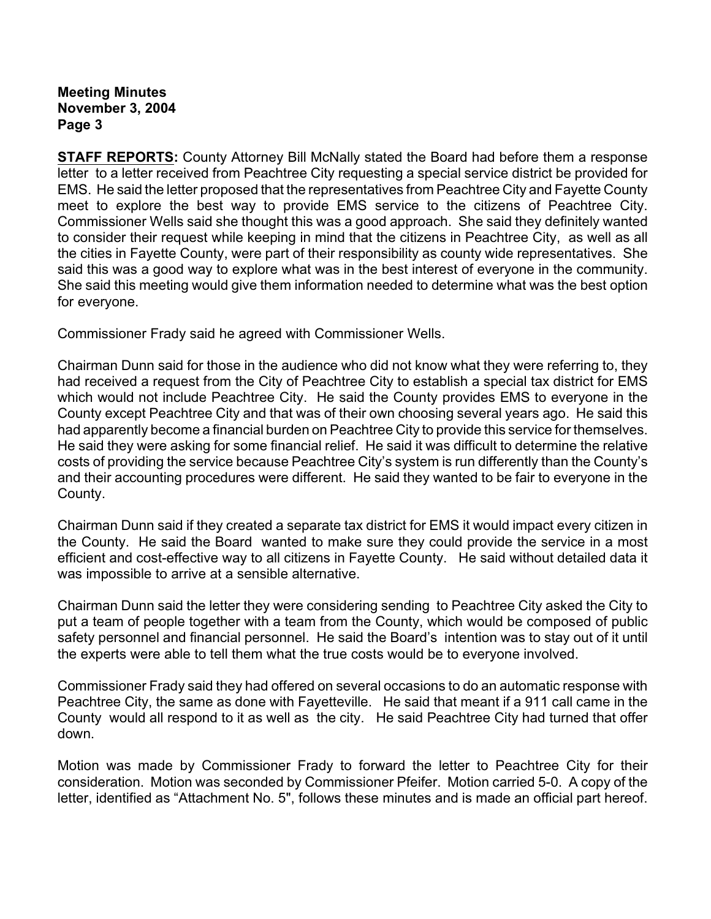**Meeting Minutes November 3, 2004 Page 3**

**STAFF REPORTS:** County Attorney Bill McNally stated the Board had before them a response letter to a letter received from Peachtree City requesting a special service district be provided for EMS. He said the letter proposed that the representatives from Peachtree City and Fayette County meet to explore the best way to provide EMS service to the citizens of Peachtree City. Commissioner Wells said she thought this was a good approach. She said they definitely wanted to consider their request while keeping in mind that the citizens in Peachtree City, as well as all the cities in Fayette County, were part of their responsibility as county wide representatives. She said this was a good way to explore what was in the best interest of everyone in the community. She said this meeting would give them information needed to determine what was the best option for everyone.

Commissioner Frady said he agreed with Commissioner Wells.

Chairman Dunn said for those in the audience who did not know what they were referring to, they had received a request from the City of Peachtree City to establish a special tax district for EMS which would not include Peachtree City. He said the County provides EMS to everyone in the County except Peachtree City and that was of their own choosing several years ago. He said this had apparently become a financial burden on Peachtree City to provide this service for themselves. He said they were asking for some financial relief. He said it was difficult to determine the relative costs of providing the service because Peachtree City's system is run differently than the County's and their accounting procedures were different. He said they wanted to be fair to everyone in the County.

Chairman Dunn said if they created a separate tax district for EMS it would impact every citizen in the County. He said the Board wanted to make sure they could provide the service in a most efficient and cost-effective way to all citizens in Fayette County. He said without detailed data it was impossible to arrive at a sensible alternative.

Chairman Dunn said the letter they were considering sending to Peachtree City asked the City to put a team of people together with a team from the County, which would be composed of public safety personnel and financial personnel. He said the Board's intention was to stay out of it until the experts were able to tell them what the true costs would be to everyone involved.

Commissioner Frady said they had offered on several occasions to do an automatic response with Peachtree City, the same as done with Fayetteville. He said that meant if a 911 call came in the County would all respond to it as well as the city. He said Peachtree City had turned that offer down.

Motion was made by Commissioner Frady to forward the letter to Peachtree City for their consideration. Motion was seconded by Commissioner Pfeifer. Motion carried 5-0. A copy of the letter, identified as "Attachment No. 5", follows these minutes and is made an official part hereof.